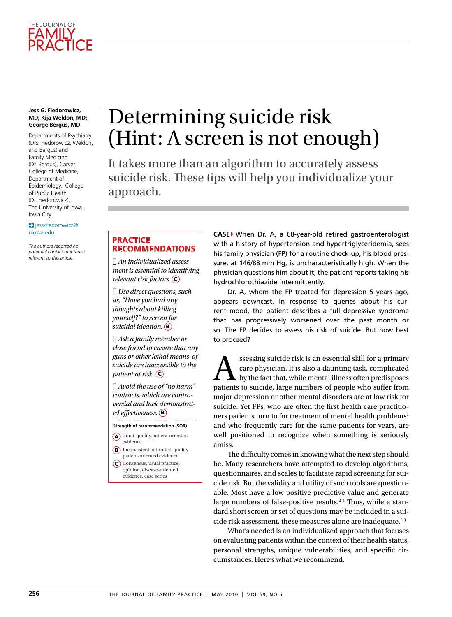

#### **Jess G. Fiedorowicz, MD; Kija Weldon, MD; George Bergus, MD**

Departments of Psychiatry (Drs. Fiedorowicz, Weldon, and Bergus) and Family Medicine (Dr. Bergus), Carver College of Medicine Department of Epidemiology, College of Public Health (Dr. Fiedorowicz), The University of Iowa , Iowa City

 $\sum$  jess-fiedorowicz@ uiowa.edu

*The authors reported no potential conflict of interest relevant to this article.*

# Determining suicide risk (Hint: A screen is not enough)

It takes more than an algorithm to accurately assess suicide risk. These tips will help you individualize your approach.

#### **Practice recommendations**

› *An individualized assessment is essential to identifying relevant risk factors.* C

› *Use direct questions, such as, "Have you had any thoughts about killing yourself?" to screen for suicidal ideation.* B

› *Ask a family member or close friend to ensure that any guns or other lethal means of suicide are inaccessible to the patient at risk.*  $\left(\overline{c}\right)$ 

› *Avoid the use of "no harm" contracts, which are controversial and lack demonstrated effectiveness.* B

**Strength of recommendation (SOR)**

- A Good-quality patient-oriented evidence
- **B**) Inconsistent or limited-quality
- patient-oriented evidence C) Consensus, usual practice, opinion, disease-oriented evidence, case series

**CASE**} When Dr. A, a 68-year-old retired gastroenterologist with a history of hypertension and hypertriglyceridemia, sees his family physician (FP) for a routine check-up, his blood pressure, at 146/88 mm Hg, is uncharacteristically high. When the physician questions him about it, the patient reports taking his hydrochlorothiazide intermittently.

Dr. A, whom the FP treated for depression 5 years ago, appears downcast. In response to queries about his current mood, the patient describes a full depressive syndrome that has progressively worsened over the past month or so. The FP decides to assess his risk of suicide. But how best to proceed?

ssessing suicide risk is an essential skill for a primary<br>care physician. It is also a daunting task, complicated<br>by the fact that, while mental illness often predisposes<br>patients to suicide, large numbers of people who su care physician. It is also a daunting task, complicated by the fact that, while mental illness often predisposes patients to suicide, large numbers of people who suffer from major depression or other mental disorders are at low risk for suicide. Yet FPs, who are often the first health care practitioners patients turn to for treatment of mental health problems<sup>1</sup> and who frequently care for the same patients for years, are well positioned to recognize when something is seriously amiss.

The difficulty comes in knowing what the next step should be. Many researchers have attempted to develop algorithms, questionnaires, and scales to facilitate rapid screening for suicide risk. But the validity and utility of such tools are questionable. Most have a low positive predictive value and generate large numbers of false-positive results.<sup>2-4</sup> Thus, while a standard short screen or set of questions may be included in a suicide risk assessment, these measures alone are inadequate.<sup>2,3</sup>

What's needed is an individualized approach that focuses on evaluating patients within the context of their health status, personal strengths, unique vulnerabilities, and specific circumstances. Here's what we recommend.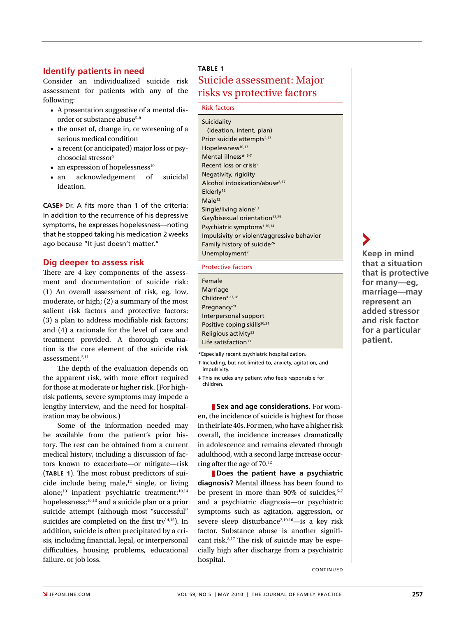## **Identify patients in need**

Consider an individualized suicide risk assessment for patients with any of the following:

- A presentation suggestive of a mental disorder or substance abuse<sup>5-8</sup>
- the onset of, change in, or worsening of a serious medical condition
- a recent (or anticipated) major loss or psychosocial stressor<sup>9</sup>
- an expression of hopelessness $10$
- an acknowledgement of suicidal ideation.

**CASE**} Dr. A fits more than 1 of the criteria: In addition to the recurrence of his depressive symptoms, he expresses hopelessness—noting that he stopped taking his medication 2 weeks ago because "It just doesn't matter."

#### **Dig deeper to assess risk**

There are 4 key components of the assessment and documentation of suicide risk: (1) An overall assessment of risk, eg, low, moderate, or high; (2) a summary of the most salient risk factors and protective factors; (3) a plan to address modifiable risk factors; and (4) a rationale for the level of care and treatment provided. A thorough evaluation is the core element of the suicide risk assessment.2,11

The depth of the evaluation depends on the apparent risk, with more effort required for those at moderate or higher risk. (For highrisk patients, severe symptoms may impede a lengthy interview, and the need for hospitalization may be obvious.)

Some of the information needed may be available from the patient's prior history. The rest can be obtained from a current medical history, including a discussion of factors known to exacerbate—or mitigate—risk (**TABLE 1**). The most robust predictors of suicide include being male, $12$  single, or living alone;<sup>13</sup> inpatient psychiatric treatment;<sup>10,14</sup> hopelessness;<sup>10,13</sup> and a suicide plan or a prior suicide attempt (although most "successful" suicides are completed on the first try $14,15$ ). In addition, suicide is often precipitated by a crisis, including financial, legal, or interpersonal difficulties, housing problems, educational failure, or job loss.

#### **Table 1**

## Suicide assessment: Major risks vs protective factors

#### Risk factors

| Suicidality                                |
|--------------------------------------------|
| (ideation, intent, plan)                   |
| Prior suicide attempts <sup>2,13</sup>     |
| Hopelessness <sup>10,13</sup>              |
| Mental illness* 5-7                        |
| Recent loss or crisis <sup>9</sup>         |
| Negativity, rigidity                       |
| Alcohol intoxication/abuse <sup>8,17</sup> |
| Elderly <sup>12</sup>                      |
| Male <sup>12</sup>                         |
| Single/living alone <sup>13</sup>          |
| Gay/bisexual orientation <sup>13,25</sup>  |
| Psychiatric symptoms <sup>+ 10,14</sup>    |
| Impulsivity or violent/aggressive behavior |
| Family history of suicide <sup>26</sup>    |
| Unemployment <sup>2</sup>                  |

Protective factors

| Female                                  |
|-----------------------------------------|
| Marriage                                |
| Children <sup># 27,28</sup>             |
| Pregnancy <sup>29</sup>                 |
| Interpersonal support                   |
| Positive coping skills <sup>30,31</sup> |
| Religious activity <sup>32</sup>        |
| Life satisfaction <sup>33</sup>         |

\*Especially recent psychiatric hospitalization.

† Including, but not limited to, anxiety, agitation, and impulsivity.

‡ This includes any patient who feels responsible for children.

**Sex and age considerations.** For women, the incidence of suicide is highest for those in their late 40s. For men, who have a higher risk overall, the incidence increases dramatically in adolescence and remains elevated through adulthood, with a second large increase occurring after the age of 70.12

z **Does the patient have a psychiatric diagnosis?** Mental illness has been found to be present in more than  $90\%$  of suicides,<sup>5-7</sup> and a psychiatric diagnosis—or psychiatric symptoms such as agitation, aggression, or severe sleep disturbance<sup>2,10,16</sup>—is a key risk factor. Substance abuse is another significant risk.8,17 The risk of suicide may be especially high after discharge from a psychiatric hospital.

continued

**Keep in mind that a situation that is protective for many—eg, marriage—may represent an added stressor and risk factor for a particular patient.**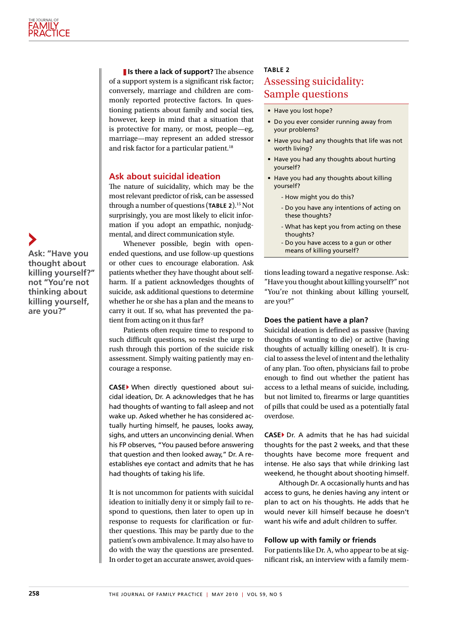**If** is there a lack of support? The absence of a support system is a significant risk factor; conversely, marriage and children are commonly reported protective factors. In questioning patients about family and social ties, however, keep in mind that a situation that is protective for many, or most, people—eg, marriage—may represent an added stressor and risk factor for a particular patient.<sup>18</sup>

### **Ask about suicidal ideation**

The nature of suicidality, which may be the most relevant predictor of risk, can be assessed through a number of questions (**TABLE 2**).15 Not surprisingly, you are most likely to elicit information if you adopt an empathic, nonjudgmental, and direct communication style.

Whenever possible, begin with openended questions, and use follow-up questions or other cues to encourage elaboration. Ask patients whether they have thought about selfharm. If a patient acknowledges thoughts of suicide, ask additional questions to determine whether he or she has a plan and the means to carry it out. If so, what has prevented the patient from acting on it thus far?

Patients often require time to respond to such difficult questions, so resist the urge to rush through this portion of the suicide risk assessment. Simply waiting patiently may encourage a response.

**CASE**} When directly questioned about suicidal ideation, Dr. A acknowledges that he has had thoughts of wanting to fall asleep and not wake up. Asked whether he has considered actually hurting himself, he pauses, looks away, sighs, and utters an unconvincing denial. When his FP observes, "You paused before answering that question and then looked away," Dr. A reestablishes eye contact and admits that he has had thoughts of taking his life.

It is not uncommon for patients with suicidal ideation to initially deny it or simply fail to respond to questions, then later to open up in response to requests for clarification or further questions. This may be partly due to the patient's own ambivalence. It may also have to do with the way the questions are presented. In order to get an accurate answer, avoid ques-

#### **Table 2**

# Assessing suicidality: Sample questions

- Have you lost hope?
- Do you ever consider running away from your problems?
- Have you had any thoughts that life was not worth living?
- Have you had any thoughts about hurting yourself?
- Have you had any thoughts about killing yourself?
	- How might you do this?
	- Do you have any intentions of acting on these thoughts?
	- What has kept you from acting on these thoughts?
	- Do you have access to a gun or other means of killing yourself?

tions leading toward a negative response. Ask: "Have you thought about killing yourself?" not "You're not thinking about killing yourself, are you?"

## **Does the patient have a plan?**

Suicidal ideation is defined as passive (having thoughts of wanting to die) or active (having thoughts of actually killing oneself). It is crucial to assess the level of intent and the lethality of any plan. Too often, physicians fail to probe enough to find out whether the patient has access to a lethal means of suicide, including, but not limited to, firearms or large quantities of pills that could be used as a potentially fatal overdose.

**CASE**} Dr. A admits that he has had suicidal thoughts for the past 2 weeks, and that these thoughts have become more frequent and intense. He also says that while drinking last weekend, he thought about shooting himself.

Although Dr. A occasionally hunts and has access to guns, he denies having any intent or plan to act on his thoughts. He adds that he would never kill himself because he doesn't want his wife and adult children to suffer.

#### **Follow up with family or friends**

For patients like Dr. A, who appear to be at significant risk, an interview with a family mem-

**Ask: "Have you thought about killing yourself?" not "You're not thinking about killing yourself, are you?"**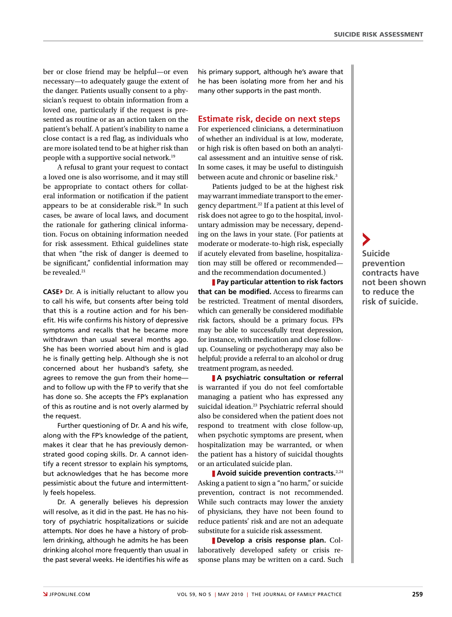ber or close friend may be helpful—or even necessary—to adequately gauge the extent of the danger. Patients usually consent to a physician's request to obtain information from a loved one, particularly if the request is presented as routine or as an action taken on the patient's behalf. A patient's inability to name a close contact is a red flag, as individuals who are more isolated tend to be at higher risk than people with a supportive social network.19

A refusal to grant your request to contact a loved one is also worrisome, and it may still be appropriate to contact others for collateral information or notification if the patient appears to be at considerable risk.<sup>20</sup> In such cases, be aware of local laws, and document the rationale for gathering clinical information. Focus on obtaining information needed for risk assessment. Ethical guidelines state that when "the risk of danger is deemed to be significant," confidential information may be revealed.<sup>21</sup>

**CASE**} Dr. A is initially reluctant to allow you to call his wife, but consents after being told that this is a routine action and for his benefit. His wife confirms his history of depressive symptoms and recalls that he became more withdrawn than usual several months ago. She has been worried about him and is glad he is finally getting help. Although she is not concerned about her husband's safety, she agrees to remove the gun from their home and to follow up with the FP to verify that she has done so. She accepts the FP's explanation of this as routine and is not overly alarmed by the request.

Further questioning of Dr. A and his wife, along with the FP's knowledge of the patient, makes it clear that he has previously demonstrated good coping skills. Dr. A cannot identify a recent stressor to explain his symptoms, but acknowledges that he has become more pessimistic about the future and intermittently feels hopeless.

Dr. A generally believes his depression will resolve, as it did in the past. He has no history of psychiatric hospitalizations or suicide attempts. Nor does he have a history of problem drinking, although he admits he has been drinking alcohol more frequently than usual in the past several weeks. He identifies his wife as

his primary support, although he's aware that he has been isolating more from her and his many other supports in the past month.

#### **Estimate risk, decide on next steps**

For experienced clinicians, a determinatiuon of whether an individual is at low, moderate, or high risk is often based on both an analytical assessment and an intuitive sense of risk. In some cases, it may be useful to distinguish between acute and chronic or baseline risk.<sup>3</sup>

Patients judged to be at the highest risk may warrant immediate transport to the emergency department.22 If a patient at this level of risk does not agree to go to the hospital, involuntary admission may be necessary, depending on the laws in your state. (For patients at moderate or moderate-to-high risk, especially if acutely elevated from baseline, hospitalization may still be offered or recommended and the recommendation documented.)

z **Pay particular attention to risk factors that can be modified.** Access to firearms can be restricted. Treatment of mental disorders, which can generally be considered modifiable risk factors, should be a primary focus. FPs may be able to successfully treat depression, for instance, with medication and close followup. Counseling or psychotherapy may also be helpful; provide a referral to an alcohol or drug treatment program, as needed.

z **A psychiatric consultation or referral** is warranted if you do not feel comfortable managing a patient who has expressed any suicidal ideation.<sup>23</sup> Psychiatric referral should also be considered when the patient does not respond to treatment with close follow-up, when psychotic symptoms are present, when hospitalization may be warranted, or when the patient has a history of suicidal thoughts or an articulated suicide plan.

**Avoid suicide prevention contracts.**<sup>2,24</sup> Asking a patient to sign a "no harm," or suicide prevention, contract is not recommended. While such contracts may lower the anxiety of physicians, they have not been found to reduce patients' risk and are not an adequate substitute for a suicide risk assessment.

z **Develop a crisis response plan.** Collaboratively developed safety or crisis response plans may be written on a card. Such **Suicide prevention contracts have not been shown to reduce the risk of suicide.**